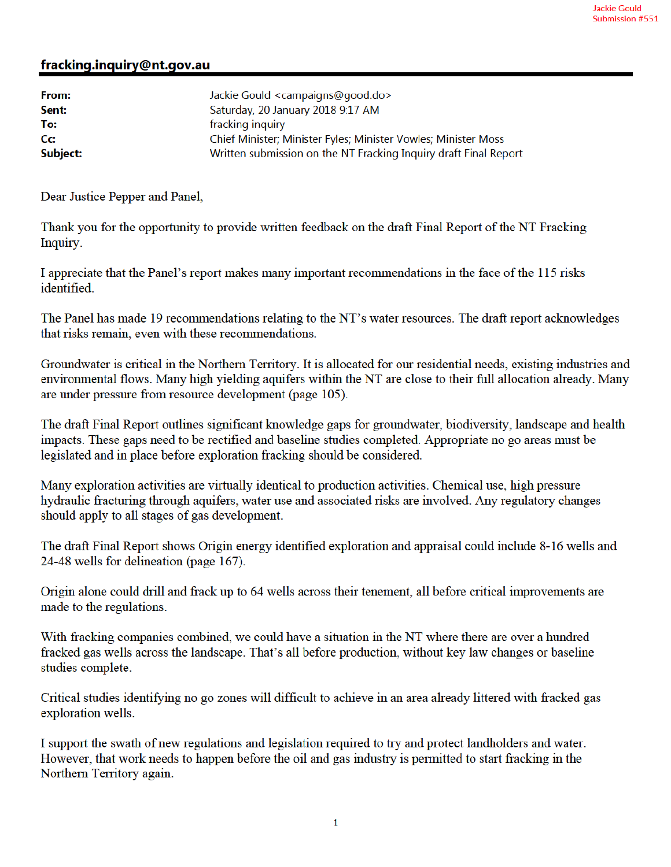## fracking.inquiry@nt.gov.au

| From:    | Jackie Gould <campaigns@good.do></campaigns@good.do>             |
|----------|------------------------------------------------------------------|
| Sent:    | Saturday, 20 January 2018 9:17 AM                                |
| To:      | fracking inquiry                                                 |
| cc:      | Chief Minister; Minister Fyles; Minister Vowles; Minister Moss   |
| Subject: | Written submission on the NT Fracking Inquiry draft Final Report |

Dear Justice Pepper and Panel,

Thank you for the opportunity to provide written feedback on the draft Final Report of the NT Fracking Inquiry.

I appreciate that the Panel's report makes many important recommendations in the face of the 115 risks identified

The Panel has made 19 recommendations relating to the NT's water resources. The draft report acknowledges that risks remain, even with these recommendations.

Groundwater is critical in the Northern Territory. It is allocated for our residential needs, existing industries and environmental flows. Many high yielding aquifers within the NT are close to their full allocation already. Many are under pressure from resource development (page 105).

The draft Final Report outlines significant knowledge gaps for groundwater, biodiversity, landscape and health impacts. These gaps need to be rectified and baseline studies completed. Appropriate no go areas must be legislated and in place before exploration fracking should be considered.

Many exploration activities are virtually identical to production activities. Chemical use, high pressure hydraulic fracturing through aquifers, water use and associated risks are involved. Any regulatory changes should apply to all stages of gas development.

The draft Final Report shows Origin energy identified exploration and appraisal could include 8-16 wells and 24-48 wells for delineation (page 167).

Origin alone could drill and frack up to 64 wells across their tenement, all before critical improvements are made to the regulations.

With fracking companies combined, we could have a situation in the NT where there are over a hundred fracked gas wells across the landscape. That's all before production, without key law changes or baseline studies complete.

Critical studies identifying no go zones will difficult to achieve in an area already littered with fracked gas exploration wells.

I support the swath of new regulations and legislation required to try and protect landholders and water. However, that work needs to happen before the oil and gas industry is permitted to start fracking in the Northern Territory again.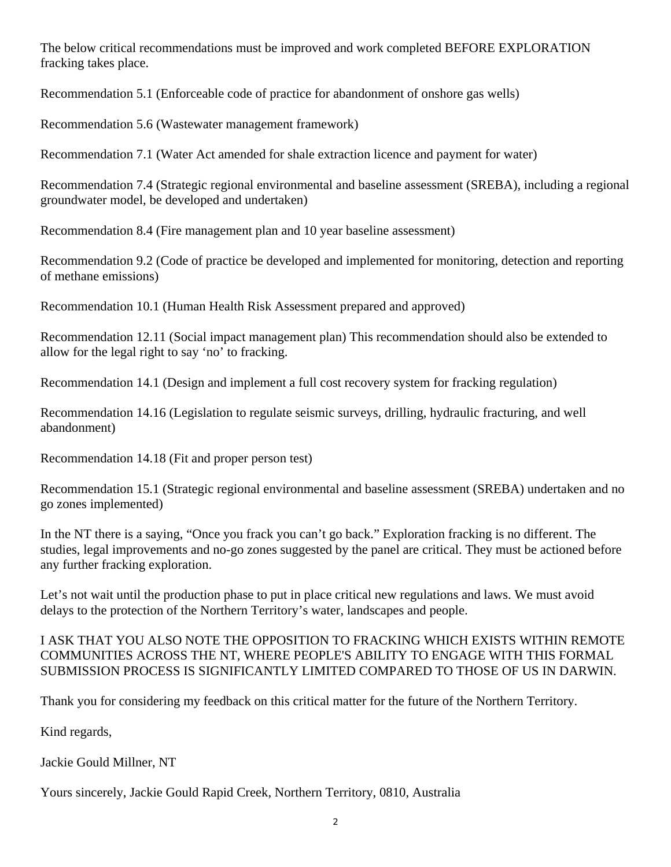The below critical recommendations must be improved and work completed BEFORE EXPLORATION fracking takes place.

Recommendation 5.1 (Enforceable code of practice for abandonment of onshore gas wells)

Recommendation 5.6 (Wastewater management framework)

Recommendation 7.1 (Water Act amended for shale extraction licence and payment for water)

Recommendation 7.4 (Strategic regional environmental and baseline assessment (SREBA), including a regional groundwater model, be developed and undertaken)

Recommendation 8.4 (Fire management plan and 10 year baseline assessment)

Recommendation 9.2 (Code of practice be developed and implemented for monitoring, detection and reporting of methane emissions)

Recommendation 10.1 (Human Health Risk Assessment prepared and approved)

Recommendation 12.11 (Social impact management plan) This recommendation should also be extended to allow for the legal right to say 'no' to fracking.

Recommendation 14.1 (Design and implement a full cost recovery system for fracking regulation)

Recommendation 14.16 (Legislation to regulate seismic surveys, drilling, hydraulic fracturing, and well abandonment)

Recommendation 14.18 (Fit and proper person test)

Recommendation 15.1 (Strategic regional environmental and baseline assessment (SREBA) undertaken and no go zones implemented)

In the NT there is a saying, "Once you frack you can't go back." Exploration fracking is no different. The studies, legal improvements and no-go zones suggested by the panel are critical. They must be actioned before any further fracking exploration.

Let's not wait until the production phase to put in place critical new regulations and laws. We must avoid delays to the protection of the Northern Territory's water, landscapes and people.

## I ASK THAT YOU ALSO NOTE THE OPPOSITION TO FRACKING WHICH EXISTS WITHIN REMOTE COMMUNITIES ACROSS THE NT, WHERE PEOPLE'S ABILITY TO ENGAGE WITH THIS FORMAL SUBMISSION PROCESS IS SIGNIFICANTLY LIMITED COMPARED TO THOSE OF US IN DARWIN.

Thank you for considering my feedback on this critical matter for the future of the Northern Territory.

Kind regards,

Jackie Gould Millner, NT

Yours sincerely, Jackie Gould Rapid Creek, Northern Territory, 0810, Australia